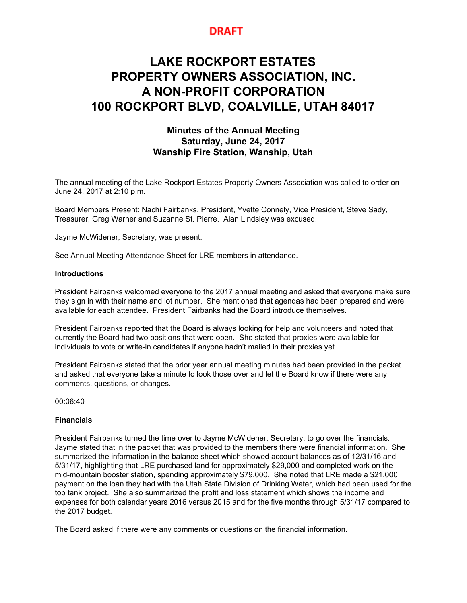# **DRAFT**

# **LAKE ROCKPORT ESTATES PROPERTY OWNERS ASSOCIATION, INC. A NON-PROFIT CORPORATION 100 ROCKPORT BLVD, COALVILLE, UTAH 84017**

# **Minutes of the Annual Meeting Saturday, June 24, 2017 Wanship Fire Station, Wanship, Utah**

The annual meeting of the Lake Rockport Estates Property Owners Association was called to order on June 24, 2017 at 2:10 p.m.

Board Members Present: Nachi Fairbanks, President, Yvette Connely, Vice President, Steve Sady, Treasurer, Greg Warner and Suzanne St. Pierre. Alan Lindsley was excused.

Jayme McWidener, Secretary, was present.

See Annual Meeting Attendance Sheet for LRE members in attendance.

#### **Introductions**

President Fairbanks welcomed everyone to the 2017 annual meeting and asked that everyone make sure they sign in with their name and lot number. She mentioned that agendas had been prepared and were available for each attendee. President Fairbanks had the Board introduce themselves.

President Fairbanks reported that the Board is always looking for help and volunteers and noted that currently the Board had two positions that were open. She stated that proxies were available for individuals to vote or write-in candidates if anyone hadn't mailed in their proxies yet.

President Fairbanks stated that the prior year annual meeting minutes had been provided in the packet and asked that everyone take a minute to look those over and let the Board know if there were any comments, questions, or changes.

00:06:40

#### **Financials**

President Fairbanks turned the time over to Jayme McWidener, Secretary, to go over the financials. Jayme stated that in the packet that was provided to the members there were financial information. She summarized the information in the balance sheet which showed account balances as of 12/31/16 and 5/31/17, highlighting that LRE purchased land for approximately \$29,000 and completed work on the mid-mountain booster station, spending approximately \$79,000. She noted that LRE made a \$21,000 payment on the loan they had with the Utah State Division of Drinking Water, which had been used for the top tank project. She also summarized the profit and loss statement which shows the income and expenses for both calendar years 2016 versus 2015 and for the five months through 5/31/17 compared to the 2017 budget.

The Board asked if there were any comments or questions on the financial information.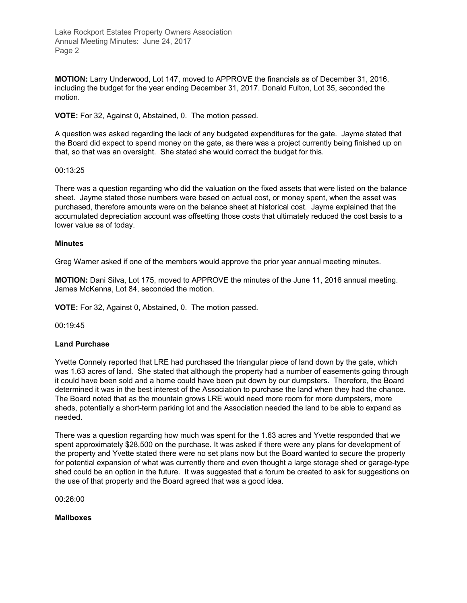**MOTION:** Larry Underwood, Lot 147, moved to APPROVE the financials as of December 31, 2016, including the budget for the year ending December 31, 2017. Donald Fulton, Lot 35, seconded the motion.

**VOTE:** For 32, Against 0, Abstained, 0. The motion passed.

A question was asked regarding the lack of any budgeted expenditures for the gate. Jayme stated that the Board did expect to spend money on the gate, as there was a project currently being finished up on that, so that was an oversight. She stated she would correct the budget for this.

#### 00:13:25

There was a question regarding who did the valuation on the fixed assets that were listed on the balance sheet. Jayme stated those numbers were based on actual cost, or money spent, when the asset was purchased, therefore amounts were on the balance sheet at historical cost. Jayme explained that the accumulated depreciation account was offsetting those costs that ultimately reduced the cost basis to a lower value as of today.

#### **Minutes**

Greg Warner asked if one of the members would approve the prior year annual meeting minutes.

**MOTION:** Dani Silva, Lot 175, moved to APPROVE the minutes of the June 11, 2016 annual meeting. James McKenna, Lot 84, seconded the motion.

**VOTE:** For 32, Against 0, Abstained, 0. The motion passed.

00:19:45

#### **Land Purchase**

Yvette Connely reported that LRE had purchased the triangular piece of land down by the gate, which was 1.63 acres of land. She stated that although the property had a number of easements going through it could have been sold and a home could have been put down by our dumpsters. Therefore, the Board determined it was in the best interest of the Association to purchase the land when they had the chance. The Board noted that as the mountain grows LRE would need more room for more dumpsters, more sheds, potentially a short-term parking lot and the Association needed the land to be able to expand as needed.

There was a question regarding how much was spent for the 1.63 acres and Yvette responded that we spent approximately \$28,500 on the purchase. It was asked if there were any plans for development of the property and Yvette stated there were no set plans now but the Board wanted to secure the property for potential expansion of what was currently there and even thought a large storage shed or garage-type shed could be an option in the future. It was suggested that a forum be created to ask for suggestions on the use of that property and the Board agreed that was a good idea.

00:26:00

#### **Mailboxes**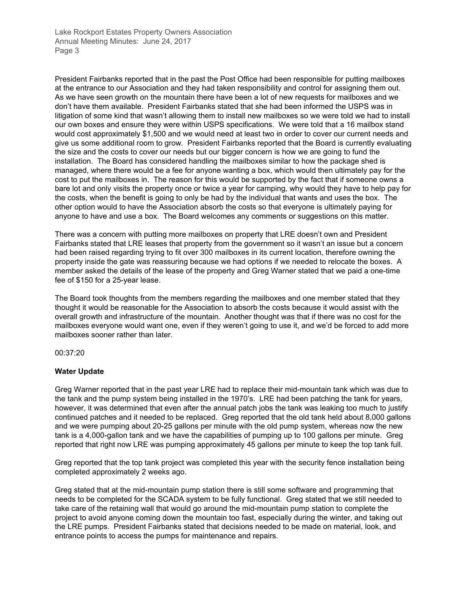President Fairbanks reported that in the past the Post Office had been responsible for putting mailboxes at the entrance to our Association and they had taken responsibility and control for assigning them out. As we have seen growth on the mountain there have been a lot of new requests for mailboxes and we don't have them available. President Fairbanks stated that she had been informed the USPS was in litigation of some kind that wasn't allowing them to install new mailboxes so we were told we had to install our own boxes and ensure they were within USPS specifications. We were told that a 16 mailbox stand would cost approximately \$1,500 and we would need at least two in order to cover our current needs and give us some additional room to grow. President Fairbanks reported that the Board is currently evaluating the size and the costs to cover our needs but our bigger concern is how we are going to fund the installation. The Board has considered handling the mailboxes similar to how the package shed is managed, where there would be a fee for anyone wanting a box, which would then ultimately pay for the cost to put the mailboxes in. The reason for this would be supported by the fact that if someone owns a bare lot and only visits the property once or twice a year for camping, why would they have to help pay for the costs, when the benefit is going to only be had by the individual that wants and uses the box. The other option would to have the Association absorb the costs so that everyone is ultimately paying for anyone to have and use a box. The Board welcomes any comments or suggestions on this matter.

There was a concern with putting more mailboxes on property that LRE doesn't own and President Fairbanks stated that LRE leases that property from the government so it wasn't an issue but a concern had been raised regarding trying to fit over 300 mailboxes in its current location, therefore owning the property inside the gate was reassuring because we had options if we needed to relocate the boxes. A member asked the details of the lease of the property and Greg Warner stated that we paid a one-time fee of \$150 for a 25-year lease.

The Board took thoughts from the members regarding the mailboxes and one member stated that they thought it would be reasonable for the Association to absorb the costs because it would assist with the overall growth and infrastructure of the mountain. Another thought was that if there was no cost for the mailboxes everyone would want one, even if they weren't going to use it, and we'd be forced to add more mailboxes sooner rather than later.

00:37:20

# **Water Update**

Greg Warner reported that in the past year LRE had to replace their mid-mountain tank which was due to the tank and the pump system being installed in the 1970's. LRE had been patching the tank for years, however, it was determined that even after the annual patch jobs the tank was leaking too much to justify continued patches and it needed to be replaced. Greg reported that the old tank held about 8,000 gallons and we were pumping about 20-25 gallons per minute with the old pump system, whereas now the new tank is a 4,000-gallon tank and we have the capabilities of pumping up to 100 gallons per minute. Greg reported that right now LRE was pumping approximately 45 gallons per minute to keep the top tank full.

Greg reported that the top tank project was completed this year with the security fence installation being completed approximately 2 weeks ago.

Greg stated that at the mid-mountain pump station there is still some software and programming that needs to be completed for the SCADA system to be fully functional. Greg stated that we still needed to take care of the retaining wall that would go around the mid-mountain pump station to complete the project to avoid anyone coming down the mountain too fast, especially during the winter, and taking out the LRE pumps. President Fairbanks stated that decisions needed to be made on material, look, and entrance points to access the pumps for maintenance and repairs.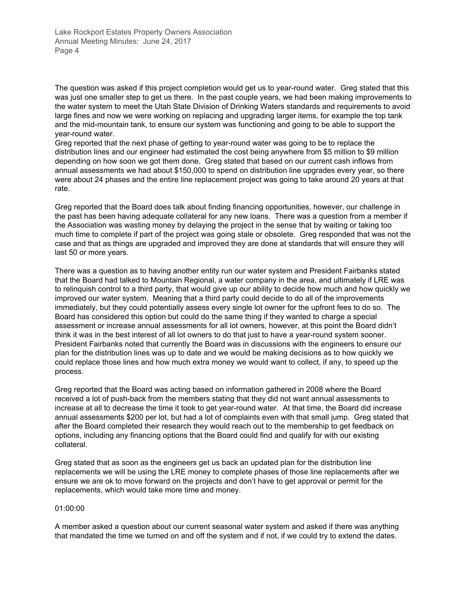The question was asked if this project completion would get us to year-round water. Greg stated that this was just one smaller step to get us there. In the past couple years, we had been making improvements to the water system to meet the Utah State Division of Drinking Waters standards and requirements to avoid large fines and now we were working on replacing and upgrading larger items, for example the top tank and the mid-mountain tank, to ensure our system was functioning and going to be able to support the year-round water.

Greg reported that the next phase of getting to year-round water was going to be to replace the distribution lines and our engineer had estimated the cost being anywhere from \$5 million to \$9 million depending on how soon we got them done. Greg stated that based on our current cash inflows from annual assessments we had about \$150,000 to spend on distribution line upgrades every year, so there were about 24 phases and the entire line replacement project was going to take around 20 years at that rate.

Greg reported that the Board does talk about finding financing opportunities, however, our challenge in the past has been having adequate collateral for any new loans. There was a question from a member if the Association was wasting money by delaying the project in the sense that by waiting or taking too much time to complete if part of the project was going stale or obsolete. Greg responded that was not the case and that as things are upgraded and improved they are done at standards that will ensure they will last 50 or more years.

There was a question as to having another entity run our water system and President Fairbanks stated that the Board had talked to Mountain Regional, a water company in the area, and ultimately if LRE was to relinquish control to a third party, that would give up our ability to decide how much and how quickly we improved our water system. Meaning that a third party could decide to do all of the improvements immediately, but they could potentially assess every single lot owner for the upfront fees to do so. The Board has considered this option but could do the same thing if they wanted to charge a special assessment or increase annual assessments for all lot owners, however, at this point the Board didn't think it was in the best interest of all lot owners to do that just to have a year-round system sooner. President Fairbanks noted that currently the Board was in discussions with the engineers to ensure our plan for the distribution lines was up to date and we would be making decisions as to how quickly we could replace those lines and how much extra money we would want to collect, if any, to speed up the process.

Greg reported that the Board was acting based on information gathered in 2008 where the Board received a lot of push-back from the members stating that they did not want annual assessments to increase at all to decrease the time it took to get year-round water. At that time, the Board did increase annual assessments \$200 per lot, but had a lot of complaints even with that small jump. Greg stated that after the Board completed their research they would reach out to the membership to get feedback on options, including any financing options that the Board could find and qualify for with our existing collateral.

Greg stated that as soon as the engineers get us back an updated plan for the distribution line replacements we will be using the LRE money to complete phases of those line replacements after we ensure we are ok to move forward on the projects and don't have to get approval or permit for the replacements, which would take more time and money.

#### 01:00:00

A member asked a question about our current seasonal water system and asked if there was anything that mandated the time we turned on and off the system and if not, if we could try to extend the dates.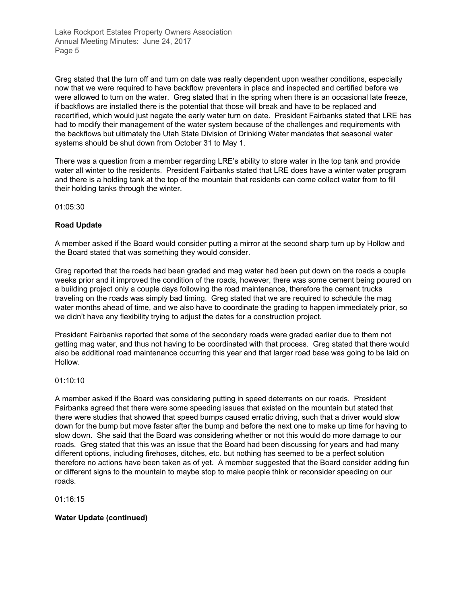Greg stated that the turn off and turn on date was really dependent upon weather conditions, especially now that we were required to have backflow preventers in place and inspected and certified before we were allowed to turn on the water. Greg stated that in the spring when there is an occasional late freeze, if backflows are installed there is the potential that those will break and have to be replaced and recertified, which would just negate the early water turn on date. President Fairbanks stated that LRE has had to modify their management of the water system because of the challenges and requirements with the backflows but ultimately the Utah State Division of Drinking Water mandates that seasonal water systems should be shut down from October 31 to May 1.

There was a question from a member regarding LRE's ability to store water in the top tank and provide water all winter to the residents. President Fairbanks stated that LRE does have a winter water program and there is a holding tank at the top of the mountain that residents can come collect water from to fill their holding tanks through the winter.

01:05:30

# **Road Update**

A member asked if the Board would consider putting a mirror at the second sharp turn up by Hollow and the Board stated that was something they would consider.

Greg reported that the roads had been graded and mag water had been put down on the roads a couple weeks prior and it improved the condition of the roads, however, there was some cement being poured on a building project only a couple days following the road maintenance, therefore the cement trucks traveling on the roads was simply bad timing. Greg stated that we are required to schedule the mag water months ahead of time, and we also have to coordinate the grading to happen immediately prior, so we didn't have any flexibility trying to adjust the dates for a construction project.

President Fairbanks reported that some of the secondary roads were graded earlier due to them not getting mag water, and thus not having to be coordinated with that process. Greg stated that there would also be additional road maintenance occurring this year and that larger road base was going to be laid on Hollow.

#### 01:10:10

A member asked if the Board was considering putting in speed deterrents on our roads. President Fairbanks agreed that there were some speeding issues that existed on the mountain but stated that there were studies that showed that speed bumps caused erratic driving, such that a driver would slow down for the bump but move faster after the bump and before the next one to make up time for having to slow down. She said that the Board was considering whether or not this would do more damage to our roads. Greg stated that this was an issue that the Board had been discussing for years and had many different options, including firehoses, ditches, etc. but nothing has seemed to be a perfect solution therefore no actions have been taken as of yet. A member suggested that the Board consider adding fun or different signs to the mountain to maybe stop to make people think or reconsider speeding on our roads.

01:16:15

# **Water Update (continued)**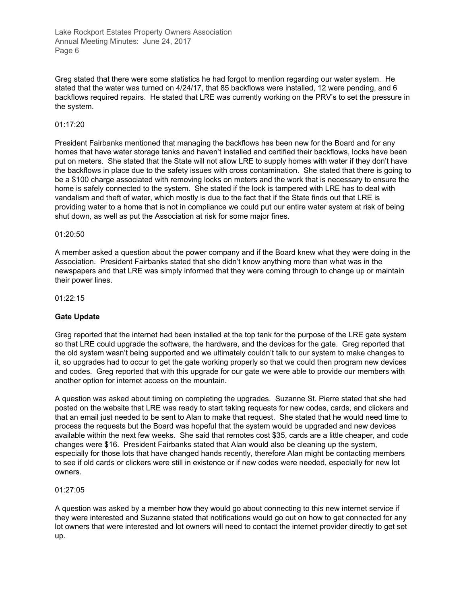Greg stated that there were some statistics he had forgot to mention regarding our water system. He stated that the water was turned on 4/24/17, that 85 backflows were installed, 12 were pending, and 6 backflows required repairs. He stated that LRE was currently working on the PRV's to set the pressure in the system.

#### 01:17:20

President Fairbanks mentioned that managing the backflows has been new for the Board and for any homes that have water storage tanks and haven't installed and certified their backflows, locks have been put on meters. She stated that the State will not allow LRE to supply homes with water if they don't have the backflows in place due to the safety issues with cross contamination. She stated that there is going to be a \$100 charge associated with removing locks on meters and the work that is necessary to ensure the home is safely connected to the system. She stated if the lock is tampered with LRE has to deal with vandalism and theft of water, which mostly is due to the fact that if the State finds out that LRE is providing water to a home that is not in compliance we could put our entire water system at risk of being shut down, as well as put the Association at risk for some major fines.

#### 01:20:50

A member asked a question about the power company and if the Board knew what they were doing in the Association. President Fairbanks stated that she didn't know anything more than what was in the newspapers and that LRE was simply informed that they were coming through to change up or maintain their power lines.

01:22:15

#### **Gate Update**

Greg reported that the internet had been installed at the top tank for the purpose of the LRE gate system so that LRE could upgrade the software, the hardware, and the devices for the gate. Greg reported that the old system wasn't being supported and we ultimately couldn't talk to our system to make changes to it, so upgrades had to occur to get the gate working properly so that we could then program new devices and codes. Greg reported that with this upgrade for our gate we were able to provide our members with another option for internet access on the mountain.

A question was asked about timing on completing the upgrades. Suzanne St. Pierre stated that she had posted on the website that LRE was ready to start taking requests for new codes, cards, and clickers and that an email just needed to be sent to Alan to make that request. She stated that he would need time to process the requests but the Board was hopeful that the system would be upgraded and new devices available within the next few weeks. She said that remotes cost \$35, cards are a little cheaper, and code changes were \$16. President Fairbanks stated that Alan would also be cleaning up the system, especially for those lots that have changed hands recently, therefore Alan might be contacting members to see if old cards or clickers were still in existence or if new codes were needed, especially for new lot owners.

#### 01:27:05

A question was asked by a member how they would go about connecting to this new internet service if they were interested and Suzanne stated that notifications would go out on how to get connected for any lot owners that were interested and lot owners will need to contact the internet provider directly to get set up.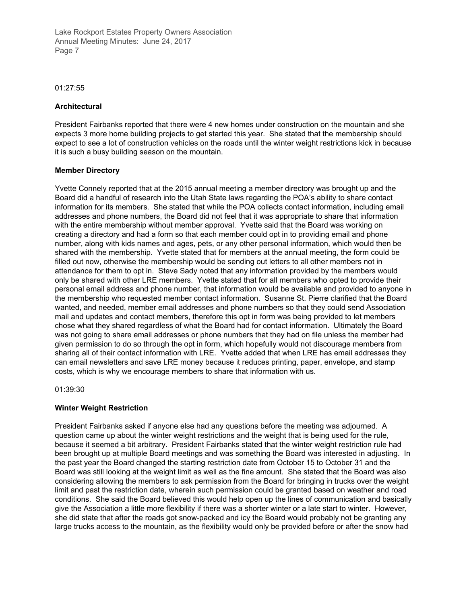#### 01:27:55

### **Architectural**

President Fairbanks reported that there were 4 new homes under construction on the mountain and she expects 3 more home building projects to get started this year. She stated that the membership should expect to see a lot of construction vehicles on the roads until the winter weight restrictions kick in because it is such a busy building season on the mountain.

#### **Member Directory**

Yvette Connely reported that at the 2015 annual meeting a member directory was brought up and the Board did a handful of research into the Utah State laws regarding the POA's ability to share contact information for its members. She stated that while the POA collects contact information, including email addresses and phone numbers, the Board did not feel that it was appropriate to share that information with the entire membership without member approval. Yvette said that the Board was working on creating a directory and had a form so that each member could opt in to providing email and phone number, along with kids names and ages, pets, or any other personal information, which would then be shared with the membership. Yvette stated that for members at the annual meeting, the form could be filled out now, otherwise the membership would be sending out letters to all other members not in attendance for them to opt in. Steve Sady noted that any information provided by the members would only be shared with other LRE members. Yvette stated that for all members who opted to provide their personal email address and phone number, that information would be available and provided to anyone in the membership who requested member contact information. Susanne St. Pierre clarified that the Board wanted, and needed, member email addresses and phone numbers so that they could send Association mail and updates and contact members, therefore this opt in form was being provided to let members chose what they shared regardless of what the Board had for contact information. Ultimately the Board was not going to share email addresses or phone numbers that they had on file unless the member had given permission to do so through the opt in form, which hopefully would not discourage members from sharing all of their contact information with LRE. Yvette added that when LRE has email addresses they can email newsletters and save LRE money because it reduces printing, paper, envelope, and stamp costs, which is why we encourage members to share that information with us.

01:39:30

# **Winter Weight Restriction**

President Fairbanks asked if anyone else had any questions before the meeting was adjourned. A question came up about the winter weight restrictions and the weight that is being used for the rule, because it seemed a bit arbitrary. President Fairbanks stated that the winter weight restriction rule had been brought up at multiple Board meetings and was something the Board was interested in adjusting. In the past year the Board changed the starting restriction date from October 15 to October 31 and the Board was still looking at the weight limit as well as the fine amount. She stated that the Board was also considering allowing the members to ask permission from the Board for bringing in trucks over the weight limit and past the restriction date, wherein such permission could be granted based on weather and road conditions. She said the Board believed this would help open up the lines of communication and basically give the Association a little more flexibility if there was a shorter winter or a late start to winter. However, she did state that after the roads got snow-packed and icy the Board would probably not be granting any large trucks access to the mountain, as the flexibility would only be provided before or after the snow had